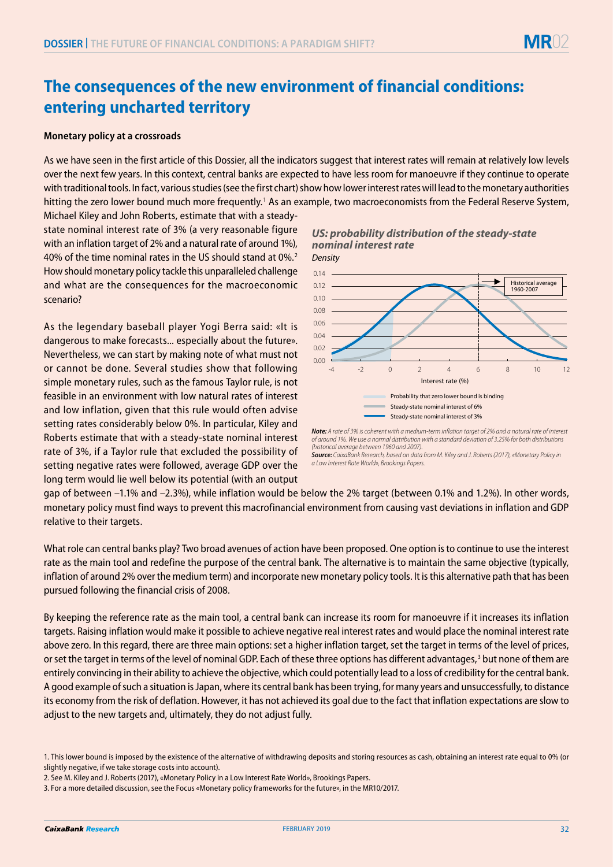# **The consequences of the new environment of financial conditions: entering uncharted territory**

#### **Monetary policy at a crossroads**

As we have seen in the first article of this Dossier, all the indicators suggest that interest rates will remain at relatively low levels over the next few years. In this context, central banks are expected to have less room for manoeuvre if they continue to operate with traditional tools. In fact, various studies (see the first chart) show how lower interest rates will lead to the monetary authorities hitting the zero lower bound much more frequently.<sup>1</sup> As an example, two macroeconomists from the Federal Reserve System,

Michael Kiley and John Roberts, estimate that with a steadystate nominal interest rate of 3% (a very reasonable figure with an inflation target of 2% and a natural rate of around 1%), 40% of the time nominal rates in the US should stand at 0%.2 How should monetary policy tackle this unparalleled challenge and what are the consequences for the macroeconomic scenario?

As the legendary baseball player Yogi Berra said: «It is dangerous to make forecasts... especially about the future». Nevertheless, we can start by making note of what must not or cannot be done. Several studies show that following simple monetary rules, such as the famous Taylor rule, is not feasible in an environment with low natural rates of interest and low inflation, given that this rule would often advise setting rates considerably below 0%. In particular, Kiley and Roberts estimate that with a steady-state nominal interest rate of 3%, if a Taylor rule that excluded the possibility of setting negative rates were followed, average GDP over the long term would lie well below its potential (with an output





*Not***e***:* A rate of 3% is coherent with a medium-term inflation target of 2% and a natural rate of interest of around 1%. We use a normal distribution with a standard deviation of 3.25% for both distributions (historical average between 1960 and 2007).

**Source***: C*aixaBank Research, based on data from M. Kiley and J. Roberts (2017), «Monetary Policy in a Low *Interest Rate World», Brookings Papers.* 

gap of between –1.1% and –2.3%), while inflation would be below the 2% target (between 0.1% and 1.2%). In other words, monetary policy must find ways to prevent this macrofinancial environment from causing vast deviations in inflation and GDP relative to their targets.

What role can central banks play? Two broad avenues of action have been proposed. One option is to continue to use the interest rate as the main tool and redefine the purpose of the central bank. The alternative is to maintain the same objective (typically, inflation of around 2% over the medium term) and incorporate new monetary policy tools. It is this alternative path that has been pursued following the financial crisis of 2008.

By keeping the reference rate as the main tool, a central bank can increase its room for manoeuvre if it increases its inflation targets. Raising inflation would make it possible to achieve negative real interest rates and would place the nominal interest rate above zero. In this regard, there are three main options: set a higher inflation target, set the target in terms of the level of prices, or set the target in terms of the level of nominal GDP. Each of these three options has different advantages,<sup>3</sup> but none of them are entirely convincing in their ability to achieve the objective, which could potentially lead to a loss of credibility for the central bank. A good example of such a situation is Japan, where its central bank has been trying, for many years and unsuccessfully, to distance its economy from the risk of deflation. However, it has not achieved its goal due to the fact that inflation expectations are slow to adjust to the new targets and, ultimately, they do not adjust fully.

<sup>1.</sup> This lower bound is imposed by the existence of the alternative of withdrawing deposits and storing resources as cash, obtaining an interest rate equal to 0% (or slightly negative, if we take storage costs into account).

<sup>2.</sup> See M. Kiley and J. Roberts (2017), «Monetary Policy in a Low Interest Rate World», Brookings Papers.

<sup>3.</sup> For a more detailed discussion, see the Focus «Monetary policy frameworks for the future», in the MR10/2017.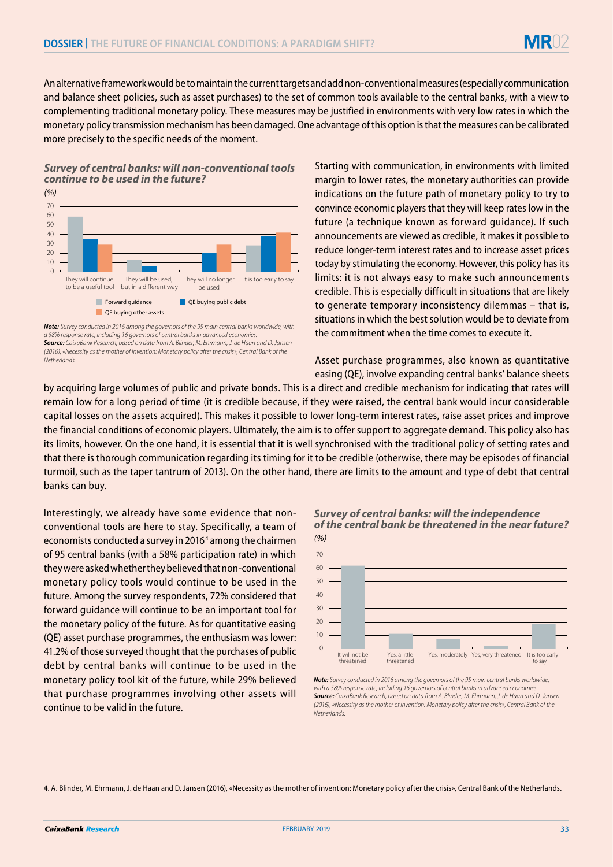An alternative framework would be to maintain the current targets and add non-conventional measures (especially communication and balance sheet policies, such as asset purchases) to the set of common tools available to the central banks, with a view to complementing traditional monetary policy. These measures may be justified in environments with very low rates in which the monetary policy transmission mechanism has been damaged. One advantage of this option is that the measures can be calibrated more precisely to the specific needs of the moment.

## *Survey of central banks: will non-conventional tools continue to be used in the future?*



*Note: Survey conducted in 2016 among the governors of the 95 main central banks worldwide, with a 58% response rate, including 16 governors of central banks in advanced economies. Source: CaixaBank Research, based on data from A. Blinder, M. Ehrmann, J. de Haan and D. Jansen (2016), «Necessity as the mother of invention: Monetary policy after the crisis», Central Bank of the Netherlands.*

Starting with communication, in environments with limited margin to lower rates, the monetary authorities can provide indications on the future path of monetary policy to try to convince economic players that they will keep rates low in the future (a technique known as forward guidance). If such announcements are viewed as credible, it makes it possible to reduce longer-term interest rates and to increase asset prices today by stimulating the economy. However, this policy has its limits: it is not always easy to make such announcements credible. This is especially difficult in situations that are likely to generate temporary inconsistency dilemmas – that is, situations in which the best solution would be to deviate from the commitment when the time comes to execute it.

Asset purchase programmes, also known as quantitative easing (QE), involve expanding central banks' balance sheets

by acquiring large volumes of public and private bonds. This is a direct and credible mechanism for indicating that rates will remain low for a long period of time (it is credible because, if they were raised, the central bank would incur considerable capital losses on the assets acquired). This makes it possible to lower long-term interest rates, raise asset prices and improve the financial conditions of economic players. Ultimately, the aim is to offer support to aggregate demand. This policy also has its limits, however. On the one hand, it is essential that it is well synchronised with the traditional policy of setting rates and that there is thorough communication regarding its timing for it to be credible (otherwise, there may be episodes of financial turmoil, such as the taper tantrum of 2013). On the other hand, there are limits to the amount and type of debt that central banks can buy.

Interestingly, we already have some evidence that nonconventional tools are here to stay. Specifically, a team of economists conducted a survey in 2016<sup>4</sup> among the chairmen of 95 central banks (with a 58% participation rate) in which they were asked whether they believed that non-conventional monetary policy tools would continue to be used in the future. Among the survey respondents, 72% considered that forward guidance will continue to be an important tool for the monetary policy of the future. As for quantitative easing (QE) asset purchase programmes, the enthusiasm was lower: 41.2% of those surveyed thought that the purchases of public debt by central banks will continue to be used in the monetary policy tool kit of the future, while 29% believed that purchase programmes involving other assets will continue to be valid in the future.





*Not***e***:* Survey conducted in 2016 among the governors of the 95 main central banks worldwide, with a 58% response rate, including 16 governors of central banks in advanced economies **Source***: C*aixaBank Research, based on data from A. Blinder, M. Ehrmann, J. de Haan and D. Jansen *(2016),* «Necessity as the mother of invention: Monetary policy after the crisis», Central Bank of the Netherlands.

4. A. Blinder, M. Ehrmann, J. de Haan and D. Jansen (2016), «Necessity as the mother of invention: Monetary policy after the crisis», Central Bank of the Netherlands.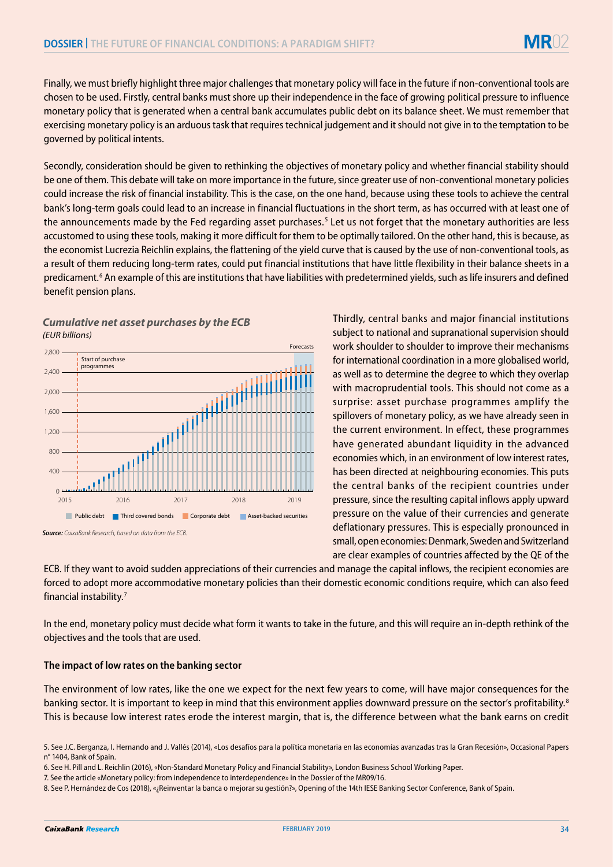Finally, we must briefly highlight three major challenges that monetary policy will face in the future if non-conventional tools are chosen to be used. Firstly, central banks must shore up their independence in the face of growing political pressure to influence monetary policy that is generated when a central bank accumulates public debt on its balance sheet. We must remember that exercising monetary policy is an arduous task that requires technical judgement and it should not give in to the temptation to be governed by political intents.

Secondly, consideration should be given to rethinking the objectives of monetary policy and whether financial stability should be one of them. This debate will take on more importance in the future, since greater use of non-conventional monetary policies could increase the risk of financial instability. This is the case, on the one hand, because using these tools to achieve the central bank's long-term goals could lead to an increase in financial fluctuations in the short term, as has occurred with at least one of the announcements made by the Fed regarding asset purchases.<sup>5</sup> Let us not forget that the monetary authorities are less accustomed to using these tools, making it more difficult for them to be optimally tailored. On the other hand, this is because, as the economist Lucrezia Reichlin explains, the flattening of the yield curve that is caused by the use of non-conventional tools, as a result of them reducing long-term rates, could put financial institutions that have little flexibility in their balance sheets in a predicament.<sup>6</sup> An example of this are institutions that have liabilities with predetermined yields, such as life insurers and defined benefit pension plans.

## *Cumulative net asset purchases by the ECB (EUR billions)*



**Source***:**C*aixaBank Research, based on data from the ECB.

Thirdly, central banks and major financial institutions subject to national and supranational supervision should work shoulder to shoulder to improve their mechanisms for international coordination in a more globalised world, as well as to determine the degree to which they overlap with macroprudential tools. This should not come as a surprise: asset purchase programmes amplify the spillovers of monetary policy, as we have already seen in the current environment. In effect, these programmes have generated abundant liquidity in the advanced economies which, in an environment of low interest rates, has been directed at neighbouring economies. This puts the central banks of the recipient countries under pressure, since the resulting capital inflows apply upward pressure on the value of their currencies and generate deflationary pressures. This is especially pronounced in small, open economies: Denmark, Sweden and Switzerland are clear examples of countries affected by the QE of the

ECB. If they want to avoid sudden appreciations of their currencies and manage the capital inflows, the recipient economies are forced to adopt more accommodative monetary policies than their domestic economic conditions require, which can also feed financial instability.7

In the end, monetary policy must decide what form it wants to take in the future, and this will require an in-depth rethink of the objectives and the tools that are used.

## **The impact of low rates on the banking sector**

The environment of low rates, like the one we expect for the next few years to come, will have major consequences for the banking sector. It is important to keep in mind that this environment applies downward pressure on the sector's profitability.<sup>8</sup> This is because low interest rates erode the interest margin, that is, the difference between what the bank earns on credit

<sup>5.</sup> See J.C. Berganza, I. Hernando and J. Vallés (2014), «Los desafíos para la política monetaria en las economías avanzadas tras la Gran Recesión», Occasional Papers n° 1404, Bank of Spain.

<sup>6.</sup> See H. Pill and L. Reichlin (2016), «Non-Standard Monetary Policy and Financial Stability», London Business School Working Paper.

<sup>7.</sup> See the article «Monetary policy: from independence to interdependence» in the Dossier of the MR09/16.

<sup>8.</sup> See P. Hernández de Cos (2018), «¿Reinventar la banca o mejorar su gestión?», Opening of the 14th IESE Banking Sector Conference, Bank of Spain.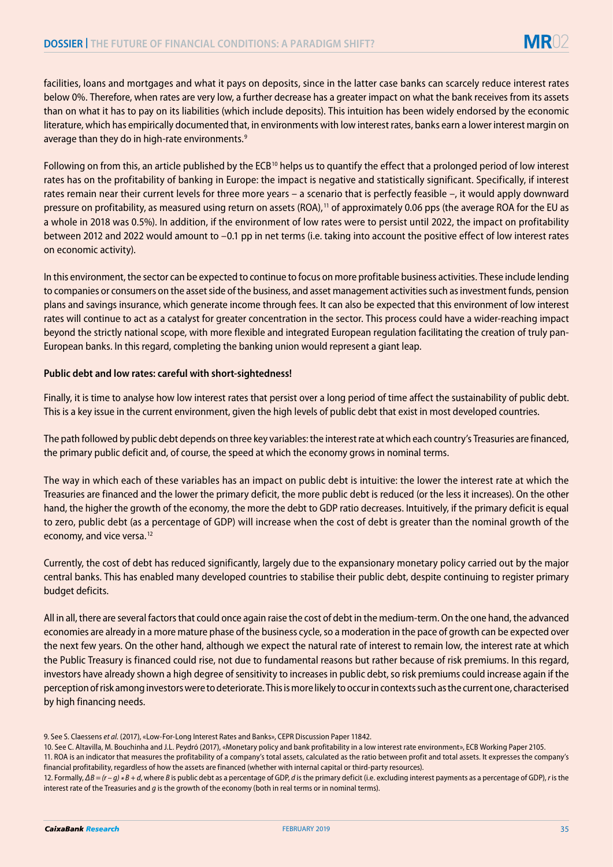facilities, loans and mortgages and what it pays on deposits, since in the latter case banks can scarcely reduce interest rates below 0%. Therefore, when rates are very low, a further decrease has a greater impact on what the bank receives from its assets than on what it has to pay on its liabilities (which include deposits). This intuition has been widely endorsed by the economic literature, which has empirically documented that, in environments with low interest rates, banks earn a lower interest margin on average than they do in high-rate environments.<sup>9</sup>

Following on from this, an article published by the ECB<sup>10</sup> helps us to quantify the effect that a prolonged period of low interest rates has on the profitability of banking in Europe: the impact is negative and statistically significant. Specifically, if interest rates remain near their current levels for three more years – a scenario that is perfectly feasible –, it would apply downward pressure on profitability, as measured using return on assets (ROA),<sup>11</sup> of approximately 0.06 pps (the average ROA for the EU as a whole in 2018 was 0.5%). In addition, if the environment of low rates were to persist until 2022, the impact on profitability between 2012 and 2022 would amount to –0.1 pp in net terms (i.e. taking into account the positive effect of low interest rates on economic activity).

In this environment, the sector can be expected to continue to focus on more profitable business activities. These include lending to companies or consumers on the asset side of the business, and asset management activities such as investment funds, pension plans and savings insurance, which generate income through fees. It can also be expected that this environment of low interest rates will continue to act as a catalyst for greater concentration in the sector. This process could have a wider-reaching impact beyond the strictly national scope, with more flexible and integrated European regulation facilitating the creation of truly pan-European banks. In this regard, completing the banking union would represent a giant leap.

### **Public debt and low rates: careful with short-sightedness!**

Finally, it is time to analyse how low interest rates that persist over a long period of time affect the sustainability of public debt. This is a key issue in the current environment, given the high levels of public debt that exist in most developed countries.

The path followed by public debt depends on three key variables: the interest rate at which each country's Treasuries are financed, the primary public deficit and, of course, the speed at which the economy grows in nominal terms.

The way in which each of these variables has an impact on public debt is intuitive: the lower the interest rate at which the Treasuries are financed and the lower the primary deficit, the more public debt is reduced (or the less it increases). On the other hand, the higher the growth of the economy, the more the debt to GDP ratio decreases. Intuitively, if the primary deficit is equal to zero, public debt (as a percentage of GDP) will increase when the cost of debt is greater than the nominal growth of the economy, and vice versa.<sup>12</sup>

Currently, the cost of debt has reduced significantly, largely due to the expansionary monetary policy carried out by the major central banks. This has enabled many developed countries to stabilise their public debt, despite continuing to register primary budget deficits.

All in all, there are several factors that could once again raise the cost of debt in the medium-term. On the one hand, the advanced economies are already in a more mature phase of the business cycle, so a moderation in the pace of growth can be expected over the next few years. On the other hand, although we expect the natural rate of interest to remain low, the interest rate at which the Public Treasury is financed could rise, not due to fundamental reasons but rather because of risk premiums. In this regard, investors have already shown a high degree of sensitivity to increases in public debt, so risk premiums could increase again if the perception of risk among investors were to deteriorate. This is more likely to occur in contexts such as the current one, characterised by high financing needs.

<sup>9.</sup> See S. Claessens *et al.* (2017), «Low-For-Long Interest Rates and Banks», CEPR Discussion Paper 11842.

<sup>10.</sup> See C. Altavilla, M. Bouchinha and J.L. Peydró (2017), «Monetary policy and bank profitability in a low interest rate environment», ECB Working Paper 2105.

<sup>11.</sup> ROA is an indicator that measures the profitability of a company's total assets, calculated as the ratio between profit and total assets. It expresses the company's financial profitability, regardless of how the assets are financed (whether with internal capital or third-party resources).

<sup>12.</sup> Formally,  $\Delta B = (r - g) * B + d$ , where *B* is public debt as a percentage of GDP, *d* is the primary deficit (i.e. excluding interest payments as a percentage of GDP), *r* is the interest rate of the Treasuries and *g* is the growth of the economy (both in real terms or in nominal terms).